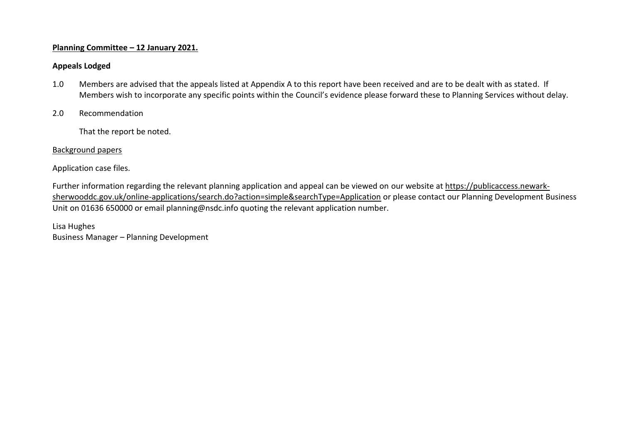## **Planning Committee – 12 January 2021.**

## **Appeals Lodged**

- 1.0 Members are advised that the appeals listed at Appendix A to this report have been received and are to be dealt with as stated. If Members wish to incorporate any specific points within the Council's evidence please forward these to Planning Services without delay.
- 2.0 Recommendation

That the report be noted.

## Background papers

Application case files.

Further information regarding the relevant planning application and appeal can be viewed on our website at [https://publicaccess.newark](https://publicaccess.newark-sherwooddc.gov.uk/online-applications/search.do?action=simple&searchType=Application)[sherwooddc.gov.uk/online-applications/search.do?action=simple&searchType=Application](https://publicaccess.newark-sherwooddc.gov.uk/online-applications/search.do?action=simple&searchType=Application) or please contact our Planning Development Business Unit on 01636 650000 or email planning@nsdc.info quoting the relevant application number.

Lisa Hughes Business Manager – Planning Development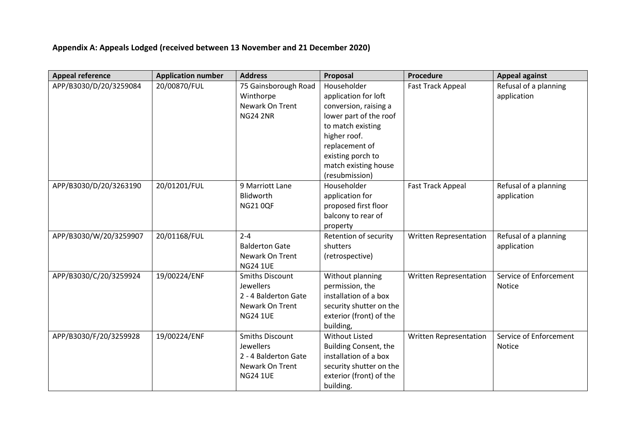## **Appendix A: Appeals Lodged (received between 13 November and 21 December 2020)**

| <b>Appeal reference</b> | <b>Application number</b> | <b>Address</b>         | Proposal                | Procedure                     | <b>Appeal against</b>  |
|-------------------------|---------------------------|------------------------|-------------------------|-------------------------------|------------------------|
| APP/B3030/D/20/3259084  | 20/00870/FUL              | 75 Gainsborough Road   | Householder             | <b>Fast Track Appeal</b>      | Refusal of a planning  |
|                         |                           | Winthorpe              | application for loft    |                               | application            |
|                         |                           | Newark On Trent        | conversion, raising a   |                               |                        |
|                         |                           | <b>NG24 2NR</b>        | lower part of the roof  |                               |                        |
|                         |                           |                        | to match existing       |                               |                        |
|                         |                           |                        | higher roof.            |                               |                        |
|                         |                           |                        | replacement of          |                               |                        |
|                         |                           |                        | existing porch to       |                               |                        |
|                         |                           |                        | match existing house    |                               |                        |
|                         |                           |                        | (resubmission)          |                               |                        |
| APP/B3030/D/20/3263190  | 20/01201/FUL              | 9 Marriott Lane        | Householder             | <b>Fast Track Appeal</b>      | Refusal of a planning  |
|                         |                           | Blidworth              | application for         |                               | application            |
|                         |                           | <b>NG210QF</b>         | proposed first floor    |                               |                        |
|                         |                           |                        | balcony to rear of      |                               |                        |
|                         |                           |                        | property                |                               |                        |
| APP/B3030/W/20/3259907  | 20/01168/FUL              | $2 - 4$                | Retention of security   | Written Representation        | Refusal of a planning  |
|                         |                           | <b>Balderton Gate</b>  | shutters                |                               | application            |
|                         |                           | Newark On Trent        | (retrospective)         |                               |                        |
|                         |                           | <b>NG24 1UE</b>        |                         |                               |                        |
| APP/B3030/C/20/3259924  | 19/00224/ENF              | <b>Smiths Discount</b> | Without planning        | Written Representation        | Service of Enforcement |
|                         |                           | <b>Jewellers</b>       | permission, the         |                               | <b>Notice</b>          |
|                         |                           | 2 - 4 Balderton Gate   | installation of a box   |                               |                        |
|                         |                           | Newark On Trent        | security shutter on the |                               |                        |
|                         |                           | <b>NG24 1UE</b>        | exterior (front) of the |                               |                        |
|                         |                           |                        | building,               |                               |                        |
| APP/B3030/F/20/3259928  | 19/00224/ENF              | <b>Smiths Discount</b> | <b>Without Listed</b>   | <b>Written Representation</b> | Service of Enforcement |
|                         |                           | <b>Jewellers</b>       | Building Consent, the   |                               | <b>Notice</b>          |
|                         |                           | 2 - 4 Balderton Gate   | installation of a box   |                               |                        |
|                         |                           | Newark On Trent        | security shutter on the |                               |                        |
|                         |                           | <b>NG24 1UE</b>        | exterior (front) of the |                               |                        |
|                         |                           |                        | building.               |                               |                        |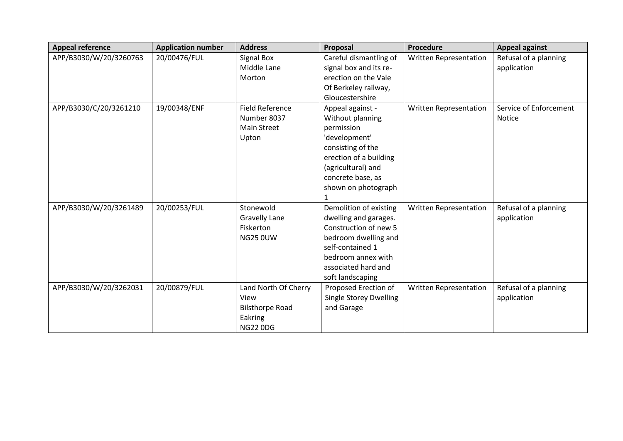| <b>Appeal reference</b> | <b>Application number</b> | <b>Address</b>         | Proposal                      | Procedure                     | <b>Appeal against</b>  |
|-------------------------|---------------------------|------------------------|-------------------------------|-------------------------------|------------------------|
| APP/B3030/W/20/3260763  | 20/00476/FUL              | <b>Signal Box</b>      | Careful dismantling of        | <b>Written Representation</b> | Refusal of a planning  |
|                         |                           | Middle Lane            | signal box and its re-        |                               | application            |
|                         |                           | Morton                 | erection on the Vale          |                               |                        |
|                         |                           |                        | Of Berkeley railway,          |                               |                        |
|                         |                           |                        | Gloucestershire               |                               |                        |
| APP/B3030/C/20/3261210  | 19/00348/ENF              | <b>Field Reference</b> | Appeal against -              | Written Representation        | Service of Enforcement |
|                         |                           | Number 8037            | Without planning              |                               | <b>Notice</b>          |
|                         |                           | <b>Main Street</b>     | permission                    |                               |                        |
|                         |                           | Upton                  | 'development'                 |                               |                        |
|                         |                           |                        | consisting of the             |                               |                        |
|                         |                           |                        | erection of a building        |                               |                        |
|                         |                           |                        | (agricultural) and            |                               |                        |
|                         |                           |                        | concrete base, as             |                               |                        |
|                         |                           |                        | shown on photograph           |                               |                        |
|                         |                           |                        | 1                             |                               |                        |
| APP/B3030/W/20/3261489  | 20/00253/FUL              | Stonewold              | Demolition of existing        | Written Representation        | Refusal of a planning  |
|                         |                           | <b>Gravelly Lane</b>   | dwelling and garages.         |                               | application            |
|                         |                           | Fiskerton              | Construction of new 5         |                               |                        |
|                         |                           | <b>NG25 0UW</b>        | bedroom dwelling and          |                               |                        |
|                         |                           |                        | self-contained 1              |                               |                        |
|                         |                           |                        | bedroom annex with            |                               |                        |
|                         |                           |                        | associated hard and           |                               |                        |
|                         |                           |                        | soft landscaping              |                               |                        |
| APP/B3030/W/20/3262031  | 20/00879/FUL              | Land North Of Cherry   | Proposed Erection of          | Written Representation        | Refusal of a planning  |
|                         |                           | View                   | <b>Single Storey Dwelling</b> |                               | application            |
|                         |                           | <b>Bilsthorpe Road</b> | and Garage                    |                               |                        |
|                         |                           | Eakring                |                               |                               |                        |
|                         |                           | <b>NG22 0DG</b>        |                               |                               |                        |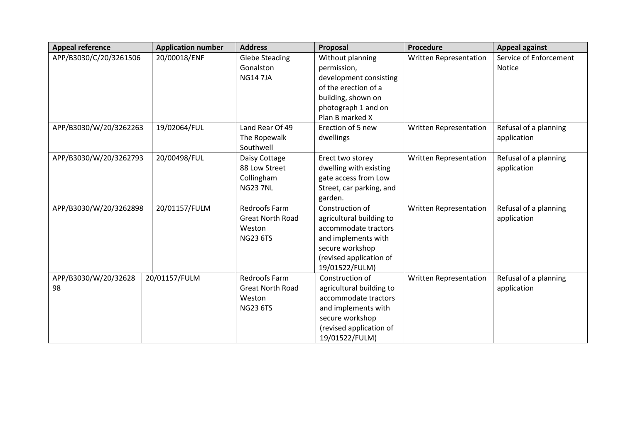| <b>Appeal reference</b>    | <b>Application number</b> | <b>Address</b>                                                               | Proposal                                                                                                                                                   | <b>Procedure</b>              | <b>Appeal against</b>                   |
|----------------------------|---------------------------|------------------------------------------------------------------------------|------------------------------------------------------------------------------------------------------------------------------------------------------------|-------------------------------|-----------------------------------------|
| APP/B3030/C/20/3261506     | 20/00018/ENF              | <b>Glebe Steading</b><br>Gonalston<br><b>NG147JA</b>                         | Without planning<br>permission,<br>development consisting<br>of the erection of a<br>building, shown on<br>photograph 1 and on<br>Plan B marked X          | Written Representation        | Service of Enforcement<br><b>Notice</b> |
| APP/B3030/W/20/3262263     | 19/02064/FUL              | Land Rear Of 49<br>The Ropewalk<br>Southwell                                 | Erection of 5 new<br>dwellings                                                                                                                             | <b>Written Representation</b> | Refusal of a planning<br>application    |
| APP/B3030/W/20/3262793     | 20/00498/FUL              | Daisy Cottage<br>88 Low Street<br>Collingham<br><b>NG237NL</b>               | Erect two storey<br>dwelling with existing<br>gate access from Low<br>Street, car parking, and<br>garden.                                                  | <b>Written Representation</b> | Refusal of a planning<br>application    |
| APP/B3030/W/20/3262898     | 20/01157/FULM             | Redroofs Farm<br><b>Great North Road</b><br>Weston<br><b>NG23 6TS</b>        | Construction of<br>agricultural building to<br>accommodate tractors<br>and implements with<br>secure workshop<br>(revised application of<br>19/01522/FULM) | Written Representation        | Refusal of a planning<br>application    |
| APP/B3030/W/20/32628<br>98 | 20/01157/FULM             | <b>Redroofs Farm</b><br><b>Great North Road</b><br>Weston<br><b>NG23 6TS</b> | Construction of<br>agricultural building to<br>accommodate tractors<br>and implements with<br>secure workshop<br>(revised application of<br>19/01522/FULM) | Written Representation        | Refusal of a planning<br>application    |